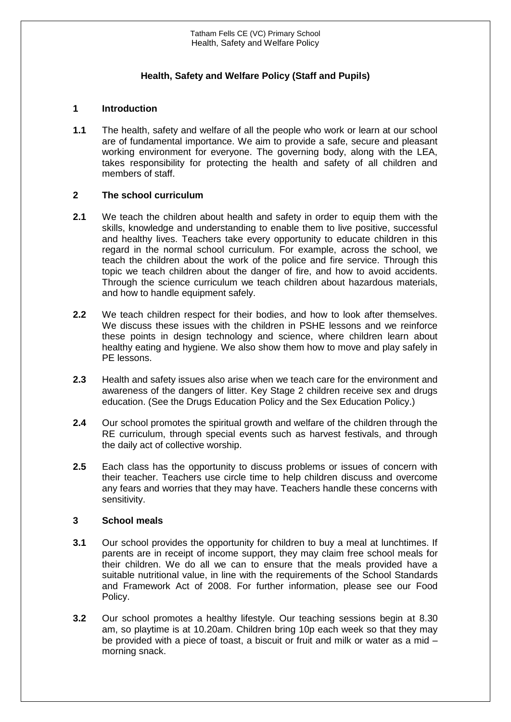## **Health, Safety and Welfare Policy (Staff and Pupils)**

## **1 Introduction**

**1.1** The health, safety and welfare of all the people who work or learn at our school are of fundamental importance. We aim to provide a safe, secure and pleasant working environment for everyone. The governing body, along with the LEA, takes responsibility for protecting the health and safety of all children and members of staff.

## **2 The school curriculum**

- **2.1** We teach the children about health and safety in order to equip them with the skills, knowledge and understanding to enable them to live positive, successful and healthy lives. Teachers take every opportunity to educate children in this regard in the normal school curriculum. For example, across the school, we teach the children about the work of the police and fire service. Through this topic we teach children about the danger of fire, and how to avoid accidents. Through the science curriculum we teach children about hazardous materials, and how to handle equipment safely.
- **2.2** We teach children respect for their bodies, and how to look after themselves. We discuss these issues with the children in PSHE lessons and we reinforce these points in design technology and science, where children learn about healthy eating and hygiene. We also show them how to move and play safely in PE lessons.
- **2.3** Health and safety issues also arise when we teach care for the environment and awareness of the dangers of litter. Key Stage 2 children receive sex and drugs education. (See the Drugs Education Policy and the Sex Education Policy.)
- **2.4** Our school promotes the spiritual growth and welfare of the children through the RE curriculum, through special events such as harvest festivals, and through the daily act of collective worship.
- **2.5** Each class has the opportunity to discuss problems or issues of concern with their teacher. Teachers use circle time to help children discuss and overcome any fears and worries that they may have. Teachers handle these concerns with sensitivity.

## **3 School meals**

- **3.1** Our school provides the opportunity for children to buy a meal at lunchtimes. If parents are in receipt of income support, they may claim free school meals for their children. We do all we can to ensure that the meals provided have a suitable nutritional value, in line with the requirements of the School Standards and Framework Act of 2008. For further information, please see our Food Policy.
- **3.2** Our school promotes a healthy lifestyle. Our teaching sessions begin at 8.30 am, so playtime is at 10.20am. Children bring 10p each week so that they may be provided with a piece of toast, a biscuit or fruit and milk or water as a mid – morning snack.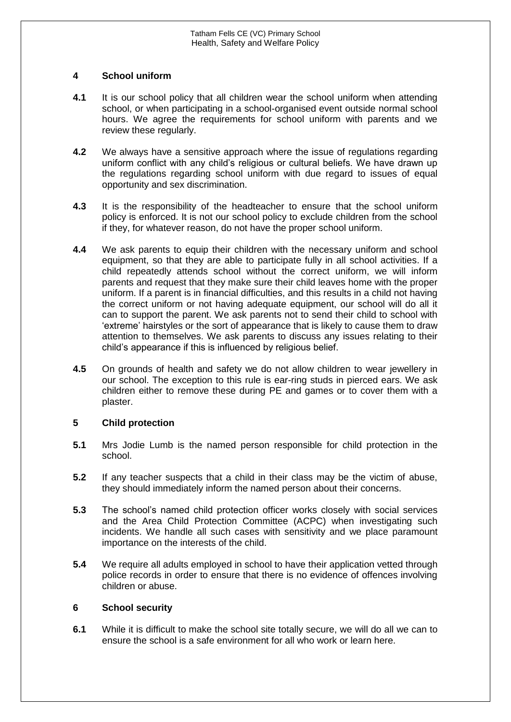### **4 School uniform**

- **4.1** It is our school policy that all children wear the school uniform when attending school, or when participating in a school-organised event outside normal school hours. We agree the requirements for school uniform with parents and we review these regularly.
- **4.2** We always have a sensitive approach where the issue of regulations regarding uniform conflict with any child's religious or cultural beliefs. We have drawn up the regulations regarding school uniform with due regard to issues of equal opportunity and sex discrimination.
- **4.3** It is the responsibility of the headteacher to ensure that the school uniform policy is enforced. It is not our school policy to exclude children from the school if they, for whatever reason, do not have the proper school uniform.
- **4.4** We ask parents to equip their children with the necessary uniform and school equipment, so that they are able to participate fully in all school activities. If a child repeatedly attends school without the correct uniform, we will inform parents and request that they make sure their child leaves home with the proper uniform. If a parent is in financial difficulties, and this results in a child not having the correct uniform or not having adequate equipment, our school will do all it can to support the parent. We ask parents not to send their child to school with 'extreme' hairstyles or the sort of appearance that is likely to cause them to draw attention to themselves. We ask parents to discuss any issues relating to their child's appearance if this is influenced by religious belief.
- **4.5** On grounds of health and safety we do not allow children to wear jewellery in our school. The exception to this rule is ear-ring studs in pierced ears. We ask children either to remove these during PE and games or to cover them with a plaster.

## **5 Child protection**

- **5.1** Mrs Jodie Lumb is the named person responsible for child protection in the school.
- **5.2** If any teacher suspects that a child in their class may be the victim of abuse, they should immediately inform the named person about their concerns.
- **5.3** The school's named child protection officer works closely with social services and the Area Child Protection Committee (ACPC) when investigating such incidents. We handle all such cases with sensitivity and we place paramount importance on the interests of the child.
- **5.4** We require all adults employed in school to have their application vetted through police records in order to ensure that there is no evidence of offences involving children or abuse.

## **6 School security**

**6.1** While it is difficult to make the school site totally secure, we will do all we can to ensure the school is a safe environment for all who work or learn here.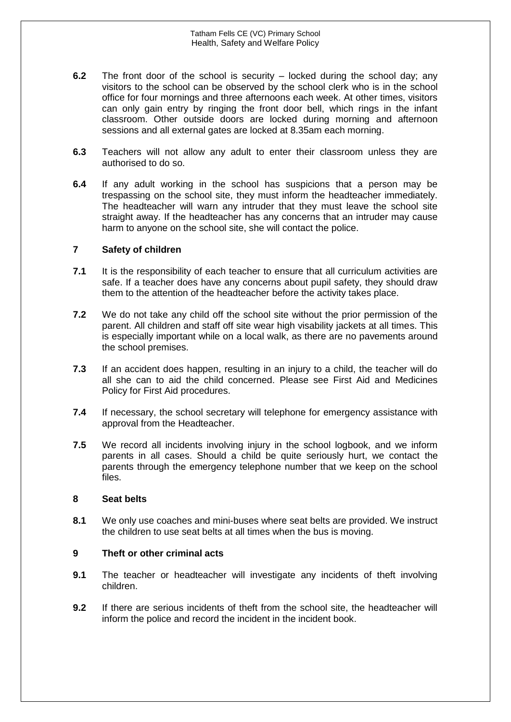- **6.2** The front door of the school is security locked during the school day; any visitors to the school can be observed by the school clerk who is in the school office for four mornings and three afternoons each week. At other times, visitors can only gain entry by ringing the front door bell, which rings in the infant classroom. Other outside doors are locked during morning and afternoon sessions and all external gates are locked at 8.35am each morning.
- **6.3** Teachers will not allow any adult to enter their classroom unless they are authorised to do so.
- **6.4** If any adult working in the school has suspicions that a person may be trespassing on the school site, they must inform the headteacher immediately. The headteacher will warn any intruder that they must leave the school site straight away. If the headteacher has any concerns that an intruder may cause harm to anyone on the school site, she will contact the police.

### **7 Safety of children**

- **7.1** It is the responsibility of each teacher to ensure that all curriculum activities are safe. If a teacher does have any concerns about pupil safety, they should draw them to the attention of the headteacher before the activity takes place.
- **7.2** We do not take any child off the school site without the prior permission of the parent. All children and staff off site wear high visability jackets at all times. This is especially important while on a local walk, as there are no pavements around the school premises.
- **7.3** If an accident does happen, resulting in an injury to a child, the teacher will do all she can to aid the child concerned. Please see First Aid and Medicines Policy for First Aid procedures.
- **7.4** If necessary, the school secretary will telephone for emergency assistance with approval from the Headteacher.
- **7.5** We record all incidents involving injury in the school logbook, and we inform parents in all cases. Should a child be quite seriously hurt, we contact the parents through the emergency telephone number that we keep on the school files.

#### **8 Seat belts**

**8.1** We only use coaches and mini-buses where seat belts are provided. We instruct the children to use seat belts at all times when the bus is moving.

## **9 Theft or other criminal acts**

- **9.1** The teacher or headteacher will investigate any incidents of theft involving children.
- **9.2** If there are serious incidents of theft from the school site, the headteacher will inform the police and record the incident in the incident book.